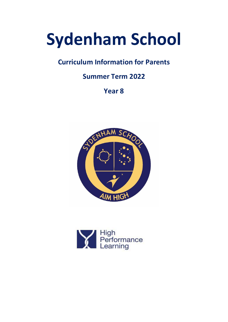# **Sydenham School**

# **Curriculum Information for Parents**

# **Summer Term 2022**

**Year 8**



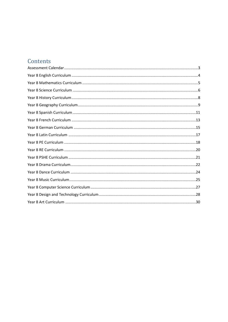# Contents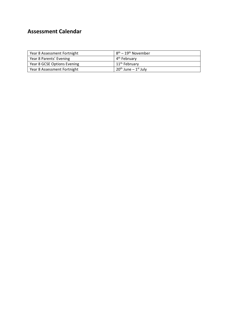## <span id="page-2-0"></span>**Assessment Calendar**

| Year 8 Assessment Fortnight | 18 <sup>th</sup> – 19 <sup>th</sup> November |
|-----------------------------|----------------------------------------------|
| Year 8 Parents' Evening     | 4 <sup>th</sup> February                     |
| Year 8 GCSE Options Evening | 11 <sup>th</sup> February                    |
| Year 8 Assessment Fortnight | $120th$ June – 1 <sup>st</sup> July          |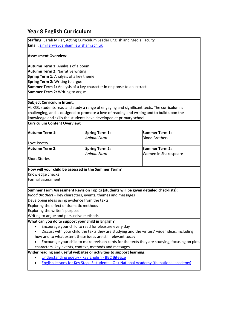## <span id="page-3-0"></span>**Year 8 English Curriculum**

**Staffing:** Sarah Millar, Acting Curriculum Leader English and Media Faculty **Email: s**[.millar@sydenham.lewisham.sch.uk](mailto:s.millar@sydenham.lewisham.sch.uk)

#### **Assessment Overview:**

**Autumn Term 1:** Analysis of a poem **Autumn Term 2:** Narrative writing **Spring Term 1:** Analysis of a key theme **Spring Term 2:** Writing to argue **Summer Term 1:** Analysis of a key character in response to an extract **Summer Term 2:** Writing to argue

#### **Subject Curriculum Intent:**

At KS3, students read and study a range of engaging and significant texts. The curriculum is challenging, and is designed to promote a love of reading and writing and to build upon the knowledge and skills the students have developed at primary school.

## **Curriculum Content Overview:**

| Animal Farm<br><b>Blood Brothers</b><br>Love Poetry<br><b>Autumn Term 2:</b><br><b>Spring Term 2:</b><br><b>Summer Term 2:</b><br>Animal Farm<br>Women in Shakespeare<br><b>Short Stories</b><br>How will your child be assessed in the Summer Term?<br>Knowledge checks<br>Summer Term Assessment Revision Topics (students will be given detailed checklists):<br>Blood Brothers - key characters, events, themes and messages<br>Developing ideas using evidence from the texts<br>Exploring the effect of dramatic methods<br>Exploring the writer's purpose<br>Writing to argue and persuasive methods<br>What can you do to support your child in English?<br>Encourage your child to read for pleasure every day<br>Discuss with your child the texts they are studying and the writers' wider ideas, including<br>how and to what extent these ideas are still relevant today<br>Encourage your child to make revision cards for the texts they are studying, focusing on plot,<br>characters, key events, context, methods and messages<br>Wider reading and useful websites or activities to support learning:<br>Understanding poetry - KS3 English - BBC Bitesize<br>English lessons for Key Stage 3 students - Oak National Academy (thenational.academy) | Autumn Term 1:    | <b>Spring Term 1:</b> | Summer Term 1: |  |
|------------------------------------------------------------------------------------------------------------------------------------------------------------------------------------------------------------------------------------------------------------------------------------------------------------------------------------------------------------------------------------------------------------------------------------------------------------------------------------------------------------------------------------------------------------------------------------------------------------------------------------------------------------------------------------------------------------------------------------------------------------------------------------------------------------------------------------------------------------------------------------------------------------------------------------------------------------------------------------------------------------------------------------------------------------------------------------------------------------------------------------------------------------------------------------------------------------------------------------------------------------------------|-------------------|-----------------------|----------------|--|
|                                                                                                                                                                                                                                                                                                                                                                                                                                                                                                                                                                                                                                                                                                                                                                                                                                                                                                                                                                                                                                                                                                                                                                                                                                                                        |                   |                       |                |  |
|                                                                                                                                                                                                                                                                                                                                                                                                                                                                                                                                                                                                                                                                                                                                                                                                                                                                                                                                                                                                                                                                                                                                                                                                                                                                        |                   |                       |                |  |
|                                                                                                                                                                                                                                                                                                                                                                                                                                                                                                                                                                                                                                                                                                                                                                                                                                                                                                                                                                                                                                                                                                                                                                                                                                                                        |                   |                       |                |  |
|                                                                                                                                                                                                                                                                                                                                                                                                                                                                                                                                                                                                                                                                                                                                                                                                                                                                                                                                                                                                                                                                                                                                                                                                                                                                        |                   |                       |                |  |
|                                                                                                                                                                                                                                                                                                                                                                                                                                                                                                                                                                                                                                                                                                                                                                                                                                                                                                                                                                                                                                                                                                                                                                                                                                                                        |                   |                       |                |  |
|                                                                                                                                                                                                                                                                                                                                                                                                                                                                                                                                                                                                                                                                                                                                                                                                                                                                                                                                                                                                                                                                                                                                                                                                                                                                        |                   |                       |                |  |
|                                                                                                                                                                                                                                                                                                                                                                                                                                                                                                                                                                                                                                                                                                                                                                                                                                                                                                                                                                                                                                                                                                                                                                                                                                                                        |                   |                       |                |  |
|                                                                                                                                                                                                                                                                                                                                                                                                                                                                                                                                                                                                                                                                                                                                                                                                                                                                                                                                                                                                                                                                                                                                                                                                                                                                        |                   |                       |                |  |
|                                                                                                                                                                                                                                                                                                                                                                                                                                                                                                                                                                                                                                                                                                                                                                                                                                                                                                                                                                                                                                                                                                                                                                                                                                                                        |                   |                       |                |  |
|                                                                                                                                                                                                                                                                                                                                                                                                                                                                                                                                                                                                                                                                                                                                                                                                                                                                                                                                                                                                                                                                                                                                                                                                                                                                        | Formal assessment |                       |                |  |
|                                                                                                                                                                                                                                                                                                                                                                                                                                                                                                                                                                                                                                                                                                                                                                                                                                                                                                                                                                                                                                                                                                                                                                                                                                                                        |                   |                       |                |  |
|                                                                                                                                                                                                                                                                                                                                                                                                                                                                                                                                                                                                                                                                                                                                                                                                                                                                                                                                                                                                                                                                                                                                                                                                                                                                        |                   |                       |                |  |
|                                                                                                                                                                                                                                                                                                                                                                                                                                                                                                                                                                                                                                                                                                                                                                                                                                                                                                                                                                                                                                                                                                                                                                                                                                                                        |                   |                       |                |  |
|                                                                                                                                                                                                                                                                                                                                                                                                                                                                                                                                                                                                                                                                                                                                                                                                                                                                                                                                                                                                                                                                                                                                                                                                                                                                        |                   |                       |                |  |
|                                                                                                                                                                                                                                                                                                                                                                                                                                                                                                                                                                                                                                                                                                                                                                                                                                                                                                                                                                                                                                                                                                                                                                                                                                                                        |                   |                       |                |  |
|                                                                                                                                                                                                                                                                                                                                                                                                                                                                                                                                                                                                                                                                                                                                                                                                                                                                                                                                                                                                                                                                                                                                                                                                                                                                        |                   |                       |                |  |
|                                                                                                                                                                                                                                                                                                                                                                                                                                                                                                                                                                                                                                                                                                                                                                                                                                                                                                                                                                                                                                                                                                                                                                                                                                                                        |                   |                       |                |  |
|                                                                                                                                                                                                                                                                                                                                                                                                                                                                                                                                                                                                                                                                                                                                                                                                                                                                                                                                                                                                                                                                                                                                                                                                                                                                        |                   |                       |                |  |
|                                                                                                                                                                                                                                                                                                                                                                                                                                                                                                                                                                                                                                                                                                                                                                                                                                                                                                                                                                                                                                                                                                                                                                                                                                                                        |                   |                       |                |  |
|                                                                                                                                                                                                                                                                                                                                                                                                                                                                                                                                                                                                                                                                                                                                                                                                                                                                                                                                                                                                                                                                                                                                                                                                                                                                        |                   |                       |                |  |
|                                                                                                                                                                                                                                                                                                                                                                                                                                                                                                                                                                                                                                                                                                                                                                                                                                                                                                                                                                                                                                                                                                                                                                                                                                                                        |                   |                       |                |  |
|                                                                                                                                                                                                                                                                                                                                                                                                                                                                                                                                                                                                                                                                                                                                                                                                                                                                                                                                                                                                                                                                                                                                                                                                                                                                        |                   |                       |                |  |
|                                                                                                                                                                                                                                                                                                                                                                                                                                                                                                                                                                                                                                                                                                                                                                                                                                                                                                                                                                                                                                                                                                                                                                                                                                                                        |                   |                       |                |  |
|                                                                                                                                                                                                                                                                                                                                                                                                                                                                                                                                                                                                                                                                                                                                                                                                                                                                                                                                                                                                                                                                                                                                                                                                                                                                        |                   |                       |                |  |
|                                                                                                                                                                                                                                                                                                                                                                                                                                                                                                                                                                                                                                                                                                                                                                                                                                                                                                                                                                                                                                                                                                                                                                                                                                                                        |                   |                       |                |  |
|                                                                                                                                                                                                                                                                                                                                                                                                                                                                                                                                                                                                                                                                                                                                                                                                                                                                                                                                                                                                                                                                                                                                                                                                                                                                        |                   |                       |                |  |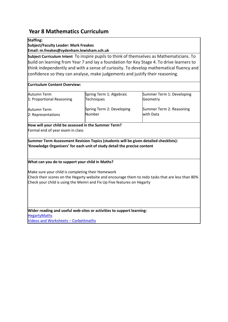## <span id="page-4-0"></span>**Year 8 Mathematics Curriculum**

## **Staffing:**

**Subject/Faculty Leader: Mark Freakes**

**Email: m.freakes@sydenham.lewisham.sch.uk**

**Subject Curriculum Intent** To inspire pupils to think of themselves as Mathematicians. To build on learning from Year 7 and lay a foundation for Key Stage 4. To drive learners to think independently and with a sense of curiosity. To develop mathematical fluency and confidence so they can analyse, make judgements and justify their reasoning.

## **Curriculum Content Overview:**

| Autumn Term               | Spring Term 1: Algebraic  | Summer Term 1: Developing |
|---------------------------|---------------------------|---------------------------|
| 1: Proportional Reasoning | <b>Techniques</b>         | Geometry                  |
| Autumn Term               | Spring Term 2: Developing | Summer Term 2: Reasoning  |
| 2: Representations        | Number                    | with Data                 |

**How will your child be assessed in the Summer Term?** Formal end of year exam in class

**Summer Term Assessment Revision Topics (students will be given detailed checklists): 'Knowledge Organisers' for each unit of study detail the precise content**

## **What can you do to support your child in Maths?**

Make sure your child is completing their Homework

Check their scores on the Hegarty website and encourage them to redo tasks that are less than 80% Check your child is using the Memri and Fix Up Five features on Hegarty

**Wider reading and useful web-sites or activities to support learning:** [HegartyMaths](https://hegartymaths.com/) [Videos and Worksheets](https://corbettmaths.com/contents/) – Corbettmaths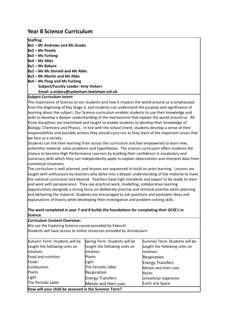## <span id="page-5-0"></span>**Year 8 Science Curriculum**

| <b>Staffing:</b>                           |
|--------------------------------------------|
| 8x1 - Mr Andrews and Ms Jinadu             |
| 8x2 – Ms Pavely                            |
| 8x3 - Ms Furlong                           |
| 8x4 - Ms Abbs                              |
| 8y1 – Ms Bakare                            |
| 8y2 - Ms Mc Donald and Ms Abbs             |
| 8y3 – Mr Martin and Ms Abbs                |
| 8y4 – Ms Pang and Ms Furlong               |
| <b>Subject/Faculty Leader: Amy Vickers</b> |
| Email: a.vickers@sydenham.lewisham.sch.uk  |

#### **Subject Curriculum Intent**

The importance of Science to our students and how it impacts the world around us is emphasised from the beginning of Key Stage 3, and students can understand the purpose and significance of learning about the subject. Our Science curriculum enables students to use their knowledge and skills to develop a deeper understanding of the mechanisms that explain the world around us. All three disciplines are interlinked and taught to enable students to develop their knowledge of Biology, Chemistry and Physics. In line with the school intent, students develop a sense of their responsibilities and possible actions they should carry out as they learn of the important issues that we face as a society.

Students can link their learning from across the curriculum and feel empowered to learn new, unfamiliar material, solve problems and hypothesise. The science curriculum offers students the chance to become High Performance Learners by building their confidence in vocabulary and numeracy skills which they can independently apply to explain observations and interpret data from contextual situations.

The curriculum is well planned, and lessons are sequenced to build on prior learning. Lessons are taught with enthusiasm by teachers who delve into a deeper understanding of the material to meet the national curriculum and beyond. Teachers have high standards and expect to be ready to learn and work with perseverance. They use practical work, modelling, collaborative learning opportunities alongside a strong focus on deliberate practise and retrieval practise when planning and delivering the material. Students are encouraged to ask questions and postulate ideas and explanations of theory while developing their investigative and problem-solving skills.

## **The work completed in year 7 and 8 builds the foundations for completing their GCSE's in Science.**

**Curriculum Content Overview:**

We use the Exploring Science course provided by Edexcel. 

Students will have access to online resources provided by ActiveLearn. 

| How will your child be assessed in the Summer Term? |                               |                               |
|-----------------------------------------------------|-------------------------------|-------------------------------|
| The Periodic table                                  | Metals and their uses         | <b>Earth and Space</b>        |
| Light                                               | <b>Energy Transfers</b>       | Unicellular organisms         |
| Plants                                              | Respiration                   | <b>Rocks</b>                  |
| Combustion                                          | The Periodic table            | Metals and their uses         |
| Fluids                                              | Light                         | <b>Energy Transfers</b>       |
| Food and nutrition                                  | Plants                        | Respiration                   |
| rotation;                                           | rotation;                     | rotation;                     |
| taught the following units on                       | taught the following units on | taught the following units on |
| Autumn Term: Students will be                       | Spring Term: Students will be | Summer Term: Students will be |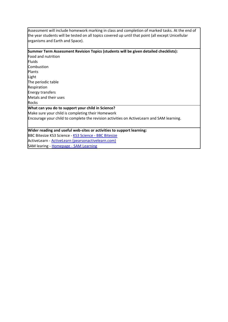Assessment will include homework marking in class and completion of marked tasks. At the end of the year students will be tested on all topics covered up until that point (all except Unicellular organisms and Earth and Space).

## **Summer Term Assessment Revision Topics (students will be given detailed checklists):**

Food and nutrition **Fluids** Combustion Plants Light The periodic table Respiration Energy transfers Metals and their uses Rocks

 $\overline{\phantom{a}}$ 

#### **What can you do to support your child in Science?**

Make sure your child is completing their Homework

Encourage your child to complete the revision activities on ActiveLearn and SAM learning. 

## **Wider reading and useful web-sites or activities to support learning:**

BBC Bitesize [KS3 Science -](https://www.bbc.co.uk/bitesize/subjects/zng4d2p) KS3 Science - BBC Bitesize ActiveLearn - [ActiveLearn \(pearsonactivelearn.com\)](https://www.pearsonactivelearn.com/app/Home) SAM learing - Homepage - [SAM Learning](https://www.samlearning.com/)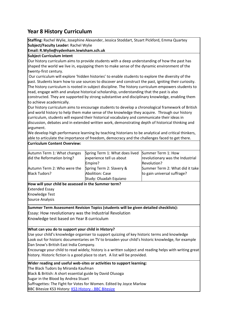## <span id="page-7-0"></span>**Year 8 History Curriculum**

**Staffing:**Rachel Wylie, Josephine Alexander, Jessica Stoddart, Stuart Pickford, Emma Quartey **Subject/Faculty Leader:**Rachel Wylie

## **Email: R.Wylie@sydenham.lewisham.sch.uk**

## **Subject Curriculum Intent**

Our history curriculum aims to provide students with a deep understanding of how the past has shaped the world we live in, equipping them to make sense of the dynamic environment of the twenty-first century.

Our curriculum will explore 'hidden histories' to enable students to explore the diversity of the past. Students learn how to use sources to discover and construct the past, igniting their curiosity. The history curriculum is rooted in subject discipline. The history curriculum empowers students to read, engage with and analyse historical scholarship, understanding that the past is also

constructed. They are supported by strong substantive and disciplinary knowledge, enabling them to achieve academically.

Our history curriculum aims to encourage students to develop a chronological framework of British and world history to help them make sense of the knowledge they acquire. Through our history curriculum, students will expand their historical vocabulary and communicate their ideas in discussion, debates and in extended written work, demonstrating depth of historical thinking and argument.

We develop high performance learning by teaching historians to be analytical and critical thinkers, able to articulate the importance of freedom, democracy and the challenges faced to get there.

#### **Curriculum Content Overview:**

| Autumn Term 1: What changes | Spring Term 1: What does lived Summer Term 1: How |                                  |
|-----------------------------|---------------------------------------------------|----------------------------------|
| did the Reformation bring?  | experience tell us about                          | revolutionary was the Industrial |
|                             | Empire?                                           | Revolution?                      |
| Autumn Term 2: Who were the | Spring Term 2: Slavery &                          | Summer Term 2: What did it take  |
| <b>Black Tudors?</b>        | Abolition: Case                                   | to gain universal suffrage?      |
|                             | Study: Oluadah Equiano                            |                                  |

**How will your child be assessed in the Summer term?**

Extended Essay

Knowledge Test

Source Analysis

**Summer Term Assessment Revision Topics (students will be given detailed checklists):** Essay: How revolutionary was the Industrial Revolution Knowledge test based on Year 8 curriculum

#### **What can you do to support your child in History?**

Use your child's knowledge organiser to support quizzing of key historic terms and knowledge Look out for historic documentaries on TV to broaden your child's historic knowledge, for example Dan Snow's British East India Company.

Encourage your child to read widely; history is a written subject and reading helps with writing great history. Historic fiction is a good place to start.  A list will be provided.

#### **Wider reading and useful web-sites or activities to support learning:**

The Black Tudors by Miranda Kaufman Black & British: A short essential guide by David Olusoga Sugar in the Blood by Andrea Stuart Suffragettes: The Fight for Votes for Women. Edited by Joyce Marlow BBC Bitesize KS3 History: [KS3 History -](https://www.bbc.co.uk/bitesize/subjects/zk26n39) BBC Bitesize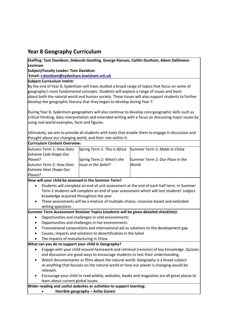## <span id="page-8-0"></span>**Year 8 Geography Curriculum**

**Staffing: Tom Davidson, Deborah Gostling, George Ranson, Caitlin Dunham, Adam Dallimore-Levinson**

## **Subject/Faculty Leader: Tom Davidson**

**Email: [t.davidson@sydenham.lewisham.sch.uk](mailto:t.davidson@sydenham.lewisham.sch.uk)**

**Subject Curriculum Intent:**

By the end of Year 8, Sydenham will have studied a broad range of topics that focus on some of geography's most fundamental concepts. Students will explore a range of issues and learn about both the natural world and human society. These issues will also support students to further develop the geographic literacy that they began to develop during Year 7.

During Year 8, Sydenham geographers will also continue to develop core geographic skills such as critical thinking, data interpretation and extended writing with a focus on discussing major issues by using real-world examples, facts and figures.

Ultimately, we aim to provide all students with tools that enable them to engage in discussion and thought about our changing world, and their role within it.

## **Curriculum Content Overview:**

| Autumn Term 1: How Does       |                           | Spring Term 1: This is Africa Summer Term 1: Made in China |
|-------------------------------|---------------------------|------------------------------------------------------------|
| <b>Extreme Cold Shape Our</b> |                           |                                                            |
| Planet?                       | Spring Term 2: What's the | Summer Term 2: Our Place in the                            |
| Autumn Term 2: How Does       | Issue in the Sahel?       | World                                                      |
| <b>Extreme Heat Shape Our</b> |                           |                                                            |
| Planet?                       |                           |                                                            |

**How will your child be assessed in the Summer Term?**

- Students will complete an end of unit assessment at the end of each half term. In Summer Term 2 students will complete an end of year assessment which will test students' subject knowledge acquired throughout the year
- These assessments will be a mixture of multiple-choice, resource-based and extended writing questions

**Summer Term Assessment Revision Topics (students will be given detailed checklists):**

- Opportunities and challenges in cold environments
- Opportunities and challenges in hot environments
- Transnational corporations and international aid as solutions to the development gap
- Causes, impacts and solutions to desertification in the Sahel
- The impacts of manufacturing in China

## **What can you do to support your child in Geography?**

- Engage with your child around homework and retrieval (revision) of key knowledge. Quizzes and discussion are good ways to encourage students to test their understanding.
- Watch documentaries or films about the natural world. Geography is a broad subject so anything that focuses on the natural world or how our planet is changing would be relevant.
- Encourage your child to read widely; websites, books and magazines are all great places to learn about current global issues.

## **Wider reading and useful websites or activities to support learning:**

• **Horrible geography – Anita Ganeri**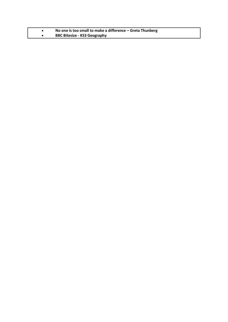| No one is too small to make a difference - Greta Thunberg |
|-----------------------------------------------------------|
| <b>BBC Bitesize - KS3 Geography</b>                       |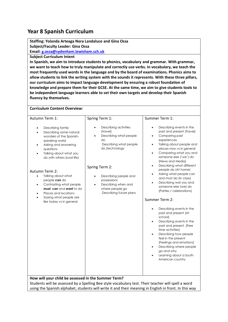## <span id="page-10-0"></span>**Year 8 Spanish Curriculum**

**Staffing: Yolanda Arteaga Nora Landaluce and Gina Ossa Subject/Faculty Leader: Gina Ossa**

**Email[: g.ossa@sydenham.lewisham.sch.uk](mailto:g.ossa@sydenham.lewisham.sch.uk)**

**Subject Curriculum Intent** 

**In Spanish, we aim to introduce students to phonics, vocabulary and grammar. With grammar, we want to teach how to truly manipulate and correctly use verbs. In vocabulary, we teach the most frequently used words in the language and by the board of examinations. Phonics aims to allow students to link the writing system with the sounds it represents. With these three pillars, our curriculum aims to impact language development by ensuring a robust foundation of knowledge and prepare them for their GCSE. At the same time, we aim to give students tools to be independent language learners able to set their own targets and develop their Spanish fluency by themselves.**

#### **Curriculum Content Overview:**

| Autumn Term 1:                                                                                                                                                                                                                                                                                                                                                                                                                                                                           | Spring Term 1:                                                                                                                                                                                                                                                                      | Summer Term 1:                                                                                                                                                                                                                                                                                                                                                                                                                                                                                                                                                                                                                                                                                                                                                                                                                                                      |
|------------------------------------------------------------------------------------------------------------------------------------------------------------------------------------------------------------------------------------------------------------------------------------------------------------------------------------------------------------------------------------------------------------------------------------------------------------------------------------------|-------------------------------------------------------------------------------------------------------------------------------------------------------------------------------------------------------------------------------------------------------------------------------------|---------------------------------------------------------------------------------------------------------------------------------------------------------------------------------------------------------------------------------------------------------------------------------------------------------------------------------------------------------------------------------------------------------------------------------------------------------------------------------------------------------------------------------------------------------------------------------------------------------------------------------------------------------------------------------------------------------------------------------------------------------------------------------------------------------------------------------------------------------------------|
| Describing family<br>$\bullet$<br>Describing some natural<br>$\bullet$<br>wonders of the Spanish-<br>speaking world<br>Asking and answering<br>$\bullet$<br>questions<br>Talking about what you<br>do with others (rural life)<br><b>Autumn Term 2:</b><br>Talking about what<br>$\bullet$<br>people can do<br>Contrasting what people<br>$\bullet$<br><b>must, can</b> and <b>want</b> to do<br>Places and locations<br>$\bullet$<br>Saying what people are<br>like today vs in general | Describing activities<br>(travel)<br>Describing what people<br>$\bullet$<br>do<br>Describing what people<br>do (technology<br>Spring Term 2:<br>Describing people and<br>$\bullet$<br>possessions<br>Describing when and<br>$\bullet$<br>where people go<br>Describing future plans | Describing events in the<br>$\bullet$<br>past and present (Travel)<br>Comparing past<br>$\bullet$<br>experiences<br>Talking about people and<br>$\bullet$<br>places now vs in general<br>Comparing what you and<br>$\bullet$<br>someone else ('we') do<br>(News and Media)<br>Describing what different<br>$\bullet$<br>people do (At home)<br>Asking what people can<br>and must do (In class)<br>Describing wat you and<br>$\bullet$<br>someone else (we) do<br>(Parties / celebrations)<br>Summer Term 2:<br>Describing events in the<br>$\bullet$<br>past and present (At<br>school)<br>Describing events in the<br>٠<br>past and present (Free<br>time activities)<br>Describing how people<br>$\bullet$<br>feel in the present<br>(Feelings and emotions)<br>Describing where people<br>go and why<br>Learning about a South<br>$\bullet$<br>American country |
| How will your child be assessed in the Summer Term?                                                                                                                                                                                                                                                                                                                                                                                                                                      |                                                                                                                                                                                                                                                                                     |                                                                                                                                                                                                                                                                                                                                                                                                                                                                                                                                                                                                                                                                                                                                                                                                                                                                     |
|                                                                                                                                                                                                                                                                                                                                                                                                                                                                                          | Students will be assessed by a Spelling Bee style vocabulary test. Their teacher will spell a word                                                                                                                                                                                  |                                                                                                                                                                                                                                                                                                                                                                                                                                                                                                                                                                                                                                                                                                                                                                                                                                                                     |
|                                                                                                                                                                                                                                                                                                                                                                                                                                                                                          | using the Spanish alphabet, students will write it and their meaning in English in front. In this way                                                                                                                                                                               |                                                                                                                                                                                                                                                                                                                                                                                                                                                                                                                                                                                                                                                                                                                                                                                                                                                                     |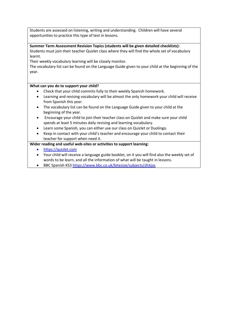Students are assessed on listening, writing and understanding. Children will have several opportunities to practice this type of test in lessons.

## **Summer Term Assessment Revision Topics (students will be given detailed checklists):**

Students must join their teacher Quizlet class where they will find the whole set of vocabulary learnt.

Their weekly vocabulary learning will be closely monitor.

The vocabulary list can be found on the Language Guide given to your child at the beginning of the year.

## **What can you do to support your child?**

- Check that your child commits fully to their weekly Spanish homework.
- Learning and revising vocabulary will be almost the only homework your child will receive from Spanish this year.
- The vocabulary list can be found on the Language Guide given to your child at the beginning of the year.
- Encourage your child to join their teacher class on Quizlet and make sure your child spends at least 5 minutes daily revising and learning vocabulary.
- Learn some Spanish, you can either use our class on Quizlet or Duolingo.
- Keep in contact with your child's teacher and encourage your child to contact their teacher for support when need it.

## **Wider reading and useful web-sites or activities to support learning:**

- [https://quizlet.com](https://quizlet.com/)
- Your child will receive a language guide booklet, on it you will find also the weekly set of words to be learn, and all the information of what will be taught in lessons.
- BBC Spanish KS3<https://www.bbc.co.uk/bitesize/subjects/zfckjxs>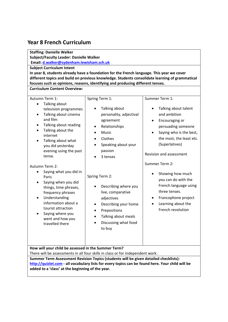## <span id="page-12-0"></span>**Year 8 French Curriculum**

| <b>Staffing: Danielle Walker</b>                                                                                                                                                                                                                                                                                                                                                                                                                                                                                                                                                                                                   |                                                                                                                                                               |                                                                                                                                                          |
|------------------------------------------------------------------------------------------------------------------------------------------------------------------------------------------------------------------------------------------------------------------------------------------------------------------------------------------------------------------------------------------------------------------------------------------------------------------------------------------------------------------------------------------------------------------------------------------------------------------------------------|---------------------------------------------------------------------------------------------------------------------------------------------------------------|----------------------------------------------------------------------------------------------------------------------------------------------------------|
| <b>Subject/Faculty Leader: Danielle Walker</b><br>Email: d.walker@sydenham.lewisham.sch.uk                                                                                                                                                                                                                                                                                                                                                                                                                                                                                                                                         |                                                                                                                                                               |                                                                                                                                                          |
| <b>Subject Curriculum Intent</b>                                                                                                                                                                                                                                                                                                                                                                                                                                                                                                                                                                                                   |                                                                                                                                                               |                                                                                                                                                          |
|                                                                                                                                                                                                                                                                                                                                                                                                                                                                                                                                                                                                                                    | In year 8, students already have a foundation for the French language. This year we cover                                                                     |                                                                                                                                                          |
|                                                                                                                                                                                                                                                                                                                                                                                                                                                                                                                                                                                                                                    | different topics and build on previous knowledge. Students consolidate learning of grammatical                                                                |                                                                                                                                                          |
|                                                                                                                                                                                                                                                                                                                                                                                                                                                                                                                                                                                                                                    | focuses such as opinions, reasons, identifying and producing different tenses.                                                                                |                                                                                                                                                          |
| <b>Curriculum Content Overview:</b>                                                                                                                                                                                                                                                                                                                                                                                                                                                                                                                                                                                                |                                                                                                                                                               |                                                                                                                                                          |
| Autumn Term 1:<br>Talking about<br>$\bullet$<br>television programmes                                                                                                                                                                                                                                                                                                                                                                                                                                                                                                                                                              | Spring Term 1:<br>Talking about                                                                                                                               | Summer Term 1:<br>Talking about talent                                                                                                                   |
| Talking about cinema<br>٠<br>and film<br>Talking about reading<br>Talking about the<br>internet<br>Talking about what<br>you did yesterday<br>evening using the past<br>tense.                                                                                                                                                                                                                                                                                                                                                                                                                                                     | personality, adjectival<br>agreement<br>Relationships<br>٠<br><b>Music</b><br>Clothes<br>$\bullet$<br>Speaking about your<br>$\bullet$<br>passion<br>3 tenses | and ambition<br>Encouraging or<br>persuading someone<br>Saying who is the best,<br>the most, the least etc.<br>(Superlatives)<br>Revision and assessment |
| Summer Term 2:<br>Autumn Term 2:<br>Saying what you did in<br>٠<br>Showing how much<br>Spring Term 2:<br>Paris<br>you can do with the<br>Saying when you did<br>French language using<br>Describing where you<br>things, time phrases,<br>three tenses.<br>live, comparative<br>frequency phrases<br>Understanding<br>Francophone project<br>adjectives<br>٠<br>information about a<br>Learning about the<br>Describing your home<br>$\bullet$<br>٠<br>tourist attraction<br>French revolution<br>Prepositions<br>Saying where you<br>Talking about meals<br>went and how you<br>Discussing what food<br>travelled there<br>to buy |                                                                                                                                                               |                                                                                                                                                          |
| How will your child be assessed in the Summer Term?                                                                                                                                                                                                                                                                                                                                                                                                                                                                                                                                                                                |                                                                                                                                                               |                                                                                                                                                          |
| There will be assessments in all four skills in class or for independent work.                                                                                                                                                                                                                                                                                                                                                                                                                                                                                                                                                     |                                                                                                                                                               |                                                                                                                                                          |
| Summer Term Assessment Revision Topics (students will be given detailed checklists):<br>http://quizlet.com - all vocabulary lists for every topics can be found here. Your child will be<br>added to a 'class' at the beginning of the year.                                                                                                                                                                                                                                                                                                                                                                                       |                                                                                                                                                               |                                                                                                                                                          |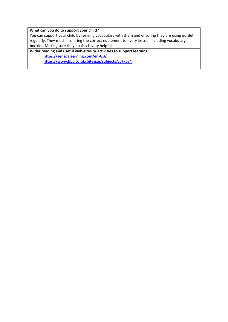#### **What can you do to support your child?**

You can support your child by revising vocabulary with them and ensuring they are using quizlet regularly. They must also bring the correct equipment to every lesson, including vocabulary booklet. Making sure they do this is very helpful.

**Wider reading and useful web-sites or activities to support learning: <https://senecalearning.com/en-GB/> <https://www.bbc.co.uk/bitesize/subjects/zc7xpv4>**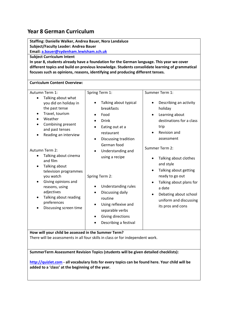## <span id="page-14-0"></span>**Year 8 German Curriculum**

**Staffing: Danielle Walker, Andrea Bauer, Nora Landaluce Subject/Faculty Leader: Andrea Bauer**

**Email[: a.bauer@sydenham.lewisham.sch.uk](mailto:a.bauer@sydenham.lewisham.sch.uk)**

**Subject Curriculum Intent** 

**In year 8, students already have a foundation for the German language. This year we cover different topics and build on previous knowledge. Students consolidate learning of grammatical focuses such as opinions, reasons, identifying and producing different tenses.**

| <b>Curriculum Content Overview:</b>                                                                                                                                                                                                                                                                                                                                                                                                                             |                                                                                                                                                                                                                                                                                                                                                              |                                                                                                                                                                                                                                                                                                                                                                                    |
|-----------------------------------------------------------------------------------------------------------------------------------------------------------------------------------------------------------------------------------------------------------------------------------------------------------------------------------------------------------------------------------------------------------------------------------------------------------------|--------------------------------------------------------------------------------------------------------------------------------------------------------------------------------------------------------------------------------------------------------------------------------------------------------------------------------------------------------------|------------------------------------------------------------------------------------------------------------------------------------------------------------------------------------------------------------------------------------------------------------------------------------------------------------------------------------------------------------------------------------|
| Autumn Term 1:<br>Talking about what<br>$\bullet$<br>you did on holiday in<br>the past tense<br>Travel, tourism<br>$\bullet$<br>Weather<br>$\bullet$<br>Combining present<br>and past tenses<br>Reading an interview<br>Autumn Term 2:<br>Talking about cinema<br>and film<br>Talking about<br>٠<br>television programmes<br>you watch<br>Giving opinions and<br>reasons, using<br>adjectives<br>Talking about reading<br>preferences<br>Discussing screen time | Spring Term 1:<br>Talking about typical<br>breakfasts<br>Food<br><b>Drink</b><br>Eating out at a<br>restaurant<br>Discussing tradition<br>German food<br>Understanding and<br>using a recipe<br>Spring Term 2:<br>Understanding rules<br>Discussing daily<br>routine<br>Using reflexive and<br>separable verbs<br>Giving directions<br>Describing a festival | Summer Term 1:<br>Describing an activity<br>$\bullet$<br>holiday<br>Learning about<br>destinations for a class<br>trip<br>Revision and<br>assessment<br>Summer Term 2:<br>Talking about clothes<br>and style<br>Talking about getting<br>$\bullet$<br>ready to go out<br>Talking about plans for<br>a date<br>Debating about school<br>uniform and discussing<br>its pros and cons |
| How will your child be assessed in the Summer Term?                                                                                                                                                                                                                                                                                                                                                                                                             |                                                                                                                                                                                                                                                                                                                                                              |                                                                                                                                                                                                                                                                                                                                                                                    |

There will be assessments in all four skills in class or for independent work.

**SummerTerm Assessment Revision Topics (students will be given detailed checklists):** 

**[http://quizlet.com](http://quizlet.com/) - all vocabulary lists for every topics can be found here. Your child will be added to a 'class' at the beginning of the year.**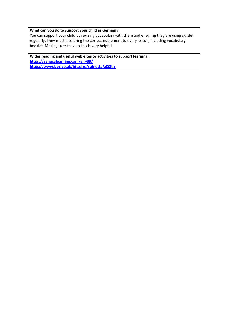#### **What can you do to support your child in German?**

You can support your child by revising vocabulary with them and ensuring they are using quizlet regularly. They must also bring the correct equipment to every lesson, including vocabulary booklet. Making sure they do this is very helpful.

**Wider reading and useful web-sites or activities to support learning: <https://senecalearning.com/en-GB/> <https://www.bbc.co.uk/bitesize/subjects/z8j2tfr>**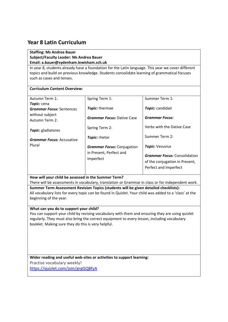## <span id="page-16-0"></span>**Year 8 Latin Curriculum**

## **Staffing: Ms Andrea Bauer Subject/Faculty Leader: Ms Andrea Bauer Email: a.bauer@sydenham.lewisham.sch.uk**

In year 8, students already have a foundation for the Latin language. This year we cover different topics and build on previous knowledge. Students consolidate learning of grammatical focuses such as cases and tenses.

## **Curriculum Content Overview:**

| Autumn Term 1:                    | Spring Term 1:                       | Summer Term 1:                      |
|-----------------------------------|--------------------------------------|-------------------------------------|
| Topic: cena                       |                                      |                                     |
| <b>Grammar Focus: Sentences</b>   | Topic: thermae                       | Topic: candidati                    |
| without subject<br>Autumn Term 2: | <b>Grammar Focus: Dative Case</b>    | <b>Grammar Focus:</b>               |
| Topic: gladiatores                | Spring Term 2:                       | Verbs with the Dative Case          |
| <b>Grammar Focus: Accusative</b>  | Topic: rhetor                        | Summer Term 2:                      |
| Plural                            | <b>Grammar Focus:</b> Conjugation    | Topic: Vesuvius                     |
|                                   | in Present, Perfect and<br>Imperfect | <b>Grammar Focus:</b> Consolidation |
|                                   |                                      | of the conjugation in Present,      |
|                                   |                                      | Perfect and Imperfect               |

**How will your child be assessed in the Summer Term?**

There will be assessments in vocabulary, translation or Grammar in class or for independent work.

**Summer Term Assessment Revision Topics (students will be given detailed checklists):**  All vocabulary lists for every topic can be found in Quizlet. Your child was added to a 'class' at the beginning of the year.

## **What can you do to support your child?**

You can support your child by revising vocabulary with them and ensuring they are using quizlet regularly. They must also bring the correct equipment to every lesson, including vocabulary booklet. Making sure they do this is very helpful.

**Wider reading and useful web-sites or activities to support learning:**

Practise vocabulary weekly!

<https://quizlet.com/join/grgGQBfyA>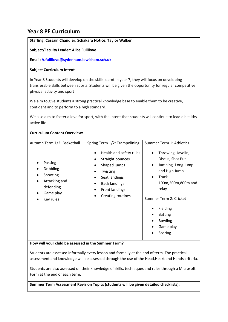## <span id="page-17-0"></span>**Year 8 PE Curriculum**

**Staffing: Cassain Chandler, Schakara Notice, Taylor Walker**

**Subject/Faculty Leader: Alice Fullilove**

**Email[: A.fullilove@sydenham.lewisham.sch.uk](mailto:A.fullilove@sydenham.lewisham.sch.uk)**

## **Subject Curriculum Intent**

In Year 8 Students will develop on the skills learnt in year 7, they will focus on developing transferable skills between sports. Students will be given the opportunity for regular competitive physical activity and sport

We aim to give students a strong practical knowledge base to enable them to be creative, confident and to perform to a high standard.

We also aim to foster a love for sport, with the intent that students will continue to lead a healthy active life.

| <b>Curriculum Content Overview:</b>                                                                                            |                                                                                                                                                                                                                     |                                                                                                                                                                                                                                                                              |
|--------------------------------------------------------------------------------------------------------------------------------|---------------------------------------------------------------------------------------------------------------------------------------------------------------------------------------------------------------------|------------------------------------------------------------------------------------------------------------------------------------------------------------------------------------------------------------------------------------------------------------------------------|
| Autumn Term 1/2: Basketball<br>Passing<br><b>Dribbling</b><br>Shooting<br>Attacking and<br>defending<br>Game play<br>Key rules | Spring Term 1/2: Trampolining<br>Health and safety rules<br>$\bullet$<br>Straight bounces<br>Shaped jumps<br>Twisting<br>Seat landings<br><b>Back landings</b><br><b>Front landings</b><br><b>Creating routines</b> | Summer Term 1: Athletics<br>Throwing-Javelin,<br>Discus, Shot Put<br>Jumping-Long Jump<br>$\bullet$<br>and High Jump<br>Track-<br>$\bullet$<br>100m,200m,800m and<br>relay<br>Summer Term 2: Cricket<br>Fielding<br><b>Batting</b><br><b>Bowling</b><br>Game play<br>Scoring |

**How will your child be assessed in the Summer Term?**

Students are assessed informally every lesson and formally at the end of term. The practical assessment and knowledge will be assessed through the use of the Head,Heart and Hands criteria.

Students are also assessed on their knowledge of skills, techniques and rules through a Microsoft Form at the end of each term.

**Summer Term Assessment Revision Topics (students will be given detailed checklists):**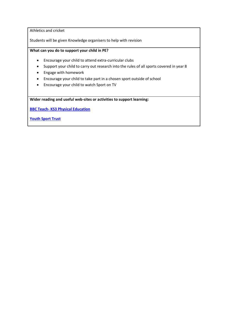Athletics and cricket

Students will be given Knowledge organisers to help with revision

## **What can you do to support your child in PE?**

- Encourage your child to attend extra-curricular clubs
- Support your child to carry out research into the rules of all sports covered in year 8
- Engage with homework
- Encourage your child to take part in a chosen sport outside of school
- Encourage your child to watch Sport on TV

**Wider reading and useful web-sites or activities to support learning:**

**BBC Teach- [KS3 Physical Education](https://www.bbc.co.uk/teach/ks3-physical-education/zrqp47h)**

**[Youth Sport Trust](https://www.youthsporttrust.org/resources/coronavirus-support/secondary-ks3-pe-activities)**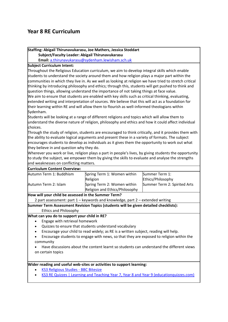## <span id="page-19-0"></span>**Year 8 RE Curriculum**

**Staffing: Abigail Thirunavukarasu, Joe Mathers, Jessica Stoddart Subject/Faculty Leader: Abigail Thirunavukarasu** **Email:** [a.thirunavukarasu@sydenham.lewisham.sch.uk](mailto:a.thirunavukarasu@sydenham.lewisham.sch.uk) **Subject Curriculum Intent:** Throughout the Religious Education curriculum, we aim to develop integral skills which enable students to understand the society around them and how religion plays a major part within the

communities in which they live in. As we well as looking at religion we have tried to stretch critical thinking by introducing philosophy and ethics; through this, students will get pushed to think and question things, allowing understand the importance of not taking things at face value. We aim to ensure that students are enabled with key skills such as critical thinking, evaluating, extended writing and interpretation of sources. We believe that this will act as a foundation for their learning within RE and will allow them to flourish as well-informed theologians within Sydenham.

Students will be looking at a range of different religions and topics which will allow them to understand the diverse nature of religion, philosophy and ethics and how it could affect individual choices.

Through the study of religion, students are encouraged to think critically, and it provides them with the ability to evaluate logical arguments and present these in a variety of formats. The subject encourages students to develop as individuals as it gives them the opportunity to work out what they believe in and question why they do.

Wherever you work or live, religion plays a part in people's lives, by giving students the opportunity to study the subject, we empower them by giving the skills to evaluate and analyse the strengths and weaknesses on conflicting matters.

| <b>Curriculum Content Overview:</b>                                                                  |                                                                                      |                              |
|------------------------------------------------------------------------------------------------------|--------------------------------------------------------------------------------------|------------------------------|
| Autumn Term 1: Buddhism                                                                              | Spring Term 1: Women within                                                          | Summer Term 1:               |
|                                                                                                      | Religion                                                                             | Ethics/Philosophy            |
| Autumn Term 2: Islam                                                                                 | Spring Term 2: Women within                                                          | Summer Term 2: Spirited Arts |
|                                                                                                      | Religion and Ethics/Philosophy                                                       |                              |
| How will your child be assessed in the Summer Term?                                                  |                                                                                      |                              |
|                                                                                                      | 2 part assessment: part 1 – keywords and knowledge, part 2 – extended writing        |                              |
|                                                                                                      | Summer Term Assessment Revision Topics (students will be given detailed checklists): |                              |
| <b>Ethics and Philosophy</b>                                                                         |                                                                                      |                              |
| What can you do to support your child in RE?                                                         |                                                                                      |                              |
| Engage with retrieval homework                                                                       |                                                                                      |                              |
| $\bullet$                                                                                            | Quizzes to ensure that students understand vocabulary                                |                              |
| $\bullet$                                                                                            | Encourage your child to read widely; as RE is a written subject, reading will help.  |                              |
| Encourage students to engage with news, so that they are exposed to religion within the<br>$\bullet$ |                                                                                      |                              |

- community
- Have discussions about the content learnt so students can understand the different views on certain topics

#### **Wider reading and useful web-sites or activities to support learning:**

- [KS3 Religious Studies -](https://www.bbc.co.uk/bitesize/subjects/zh3rkqt) BBC Bitesize
- [KS3 RE Quizzes | Learning and Teaching Year 7, Year 8 and Year 9 \(educationquizzes.com\)](https://www.educationquizzes.com/ks3/religious-education/)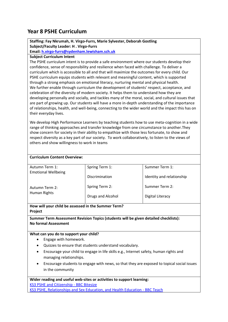## <span id="page-20-0"></span>**Year 8 PSHE Curriculum**

## **Staffing: Fay Nkrumah, H. Virgo-Furrs, Marie Sylvester, Deborah Gostling Subject/Faculty Leader: H . Virgo-Furrs**

**Email[: h.virgo-furrs@sydenham.lewisham.sch.uk](mailto:h.virgo-furrs@sydenham.lewisham.sch.uk)**

## **Subject Curriculum Intent**

The PSHE curriculum intent is to provide a safe environment where our students develop their confidence, sense of responsibility and resilience when faced with challenge. To deliver a curriculum which is accessible to all and that will maximize the outcomes for every child. Our PSHE curriculum equips students with relevant and meaningful content, which is supported through a strong emphasis on emotional literacy, nurturing mental and physical health. We further enable through curriculum the development of students' respect, acceptance, and celebration of the diversity of modern society. It helps them to understand how they are developing personally and socially, and tackles many of the moral, social, and cultural issues that are part of growing up. Our students will have a more in-depth understanding of the importance of relationships, health, and well-being, connecting to the wider world and the impact this has on their everyday lives.

We develop High Performance Learners by teaching students how to use meta-cognition in a wide range of thinking approaches and transfer knowledge from one circumstance to another.They show concern for society in their ability to empathize with those less fortunate, to show and respect diversity as a key part of our society. To work collaboratively, to listen to the views of others and show willingness to work in teams

| <b>Curriculum Content Overview:</b> |                   |                           |
|-------------------------------------|-------------------|---------------------------|
| Autumn Term 1:                      | Spring Term 1:    | Summer Term 1:            |
| <b>Emotional Wellbeing</b>          | Discrimination    | Identity and relationship |
| Autumn Term 2:                      | Spring Term 2:    | Summer Term 2:            |
| Human Rights                        | Drugs and Alcohol | Digital Literacy          |
|                                     |                   |                           |

## **How will your child be assessed in the Summer Term? Project**

**Summer Term Assessment Revision Topics (students will be given detailed checklists): No formal Assessment**

## **What can you do to support your child?**

- Engage with homework.
- Quizzes to ensure that students understand vocabulary.
- Encourage your child to engage in life skills e.g., Internet safety, human rights and managing relationships.
- Encourage students to engage with news, so that they are exposed to topical social issues in the community

**Wider reading and useful web-sites or activities to support learning:** [KS3 PSHE and Citizenship -](https://www.bbc.co.uk/bitesize/subjects/ztvg9j6) BBC Bitesize [KS3 PSHE, Relationships and Sex Education, and Health Education -](https://www.bbc.co.uk/teach/ks3-pshe-modern-studies/zdt3jhv) BBC Teach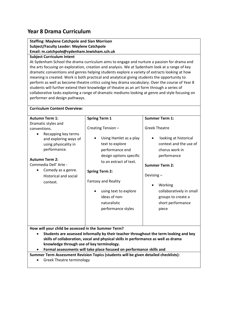## <span id="page-21-0"></span>**Year 8 Drama Curriculum**

## **Staffing: Maylene Catchpole and Sian Morrison Subject/Faculty Leader: Maylene Catchpole Email: m.catchpole@sydenham.lewisham.sch.uk**

## **Subject Curriculum Intent**

At Sydenham School the drama curriculum aims to engage and nurture a passion for drama and the arts focusing on exploration, creation and analysis. We at Sydenham look at a range of key dramatic conventions and genres helping students explore a variety of extracts looking at how meaning is created. Work is both practical and analytical giving students the opportunity to perform as well as become theatre critics using key drama vocabulary. Over the course of Year 8 students will further extend their knowledge of theatre as an art form through a series of collaborative tasks exploring a range of dramatic mediums looking at genre and style focusing on performer and design pathways.

| <b>Curriculum Content Overview:</b>                                                                                                                                                                                                                                                                |                                                                                                                                                                                                                                                                                                        |                                                                                                                                                                                                                                                                                 |  |
|----------------------------------------------------------------------------------------------------------------------------------------------------------------------------------------------------------------------------------------------------------------------------------------------------|--------------------------------------------------------------------------------------------------------------------------------------------------------------------------------------------------------------------------------------------------------------------------------------------------------|---------------------------------------------------------------------------------------------------------------------------------------------------------------------------------------------------------------------------------------------------------------------------------|--|
| <b>Autumn Term 1:</b><br>Dramatic styles and<br>conventions.<br>Recapping key terms<br>$\bullet$<br>and exploring ways of<br>using physicality in<br>performance.<br><b>Autumn Term 2:</b><br>Commedia Dell' Arte -<br>Comedy as a genre.<br>$\bullet$<br><b>Historical and social</b><br>context. | <b>Spring Term 1</b><br>Creating Tension -<br>Using Hamlet as a play<br>text to explore<br>performance end<br>design options specific<br>to an extract of text.<br><b>Spring Term 2:</b><br><b>Fantasy and Reality</b><br>using text to explore<br>ideas of non-<br>naturalistic<br>performance styles | <b>Summer Term 1:</b><br><b>Greek Theatre</b><br>looking at historical<br>context and the use of<br>chorus work in<br>performance<br><b>Summer Term 2:</b><br>Devising-<br>Working<br>$\bullet$<br>collaboratively in small<br>groups to create a<br>short performance<br>piece |  |
| How will your child be assessed in the Summer Term?<br>$\bullet$<br>knowledge through use of key terminology.                                                                                                                                                                                      | Students are assessed informally by their teacher throughout the term looking and key<br>skills of collaboration, vocal and physical skills in performance as well as drama                                                                                                                            |                                                                                                                                                                                                                                                                                 |  |

• **Formal assessments will take place focused on performance skills and** 

**Summer Term Assessment Revision Topics (students will be given detailed checklists):** 

• Greek Theatre terminology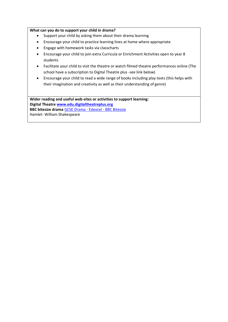#### **What can you do to support your child in drama?**

- Support your child by asking them about their drama learning
- Encourage your child to practice learning lines at home where appropriate
- Engage with homework tasks via classcharts
- Encourage your child to join extra Curricula or Enrichment Activities open to year 8 students
- Facilitate your child to visit the theatre or watch filmed theatre performances online (The school have a subscription to Digital Theatre plus -see link below)
- Encourage your child to read a wide range of books including play texts (this helps with their imagination and creativity as well as their understanding of genre)

**Wider reading and useful web-sites or activities to support learning: Digital Theatr[e www.edu.digitaltheatreplus.org](http://www.edu.digitaltheatreplus.org/) BBC bitesize drama** [GCSE Drama -](https://www.bbc.co.uk/bitesize/examspecs/zkvm2sg) Edexcel - BBC Bitesize Hamlet- William Shakespeare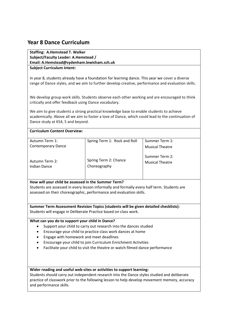## <span id="page-23-0"></span>**Year 8 Dance Curriculum**

**Staffing: A.Hemstead T. Walker Subject/Faculty Leader: A.Hemstead / Email: A.Hemstead@sydenham.lewisham.sch.uk Subject Curriculum Intent:** 

In year 8, students already have a foundation for learning dance. This year we cover a diverse range of Dance styles, and we aim to further develop creative, performance and evaluation skills.

We develop group work skills. Students observe each other working and are encouraged to think critically and offer feedback using Dance vocabulary.

We aim to give students a strong practical knowledge base to enable students to achieve academically. Above all we aim to foster a love of Dance, which could lead to the continuation of Dance study at KS4, 5 and beyond.

#### **Curriculum Content Overview:**

| Autumn Term 1:                 | Spring Term 1: Rock and Roll          | Summer Term 1:                           |
|--------------------------------|---------------------------------------|------------------------------------------|
| <b>Contemporary Dance</b>      |                                       | <b>Musical Theatre</b>                   |
| Autumn Term 2:<br>Indian Dance | Spring Term 2: Chance<br>Choreography | Summer Term 2:<br><b>Musical Theatre</b> |

#### **How will your child be assessed in the Summer Term?**

Students are assessed in every lesson informally and formally every half term. Students are assessed on their choreographic, performance and evaluation skills.

**Summer Term Assessment Revision Topics (students will be given detailed checklists):**  Students will engage in Deliberate Practice based on class work.

#### **What can you do to support your child in Dance?**

- Support your child to carry out research into the dances studied
- Encourage your child to practice class work dances at home
- Engage with homework and meet deadlines
- Encourage your child to join Curriculum Enrichment Activities
- Facilitate your child to visit the theatre or watch filmed dance performance

#### **Wider reading and useful web-sites or activities to support learning:**

Students should carry out independent research into the Dance styles studied and deliberate practice of classwork prior to the following lesson to help develop movement memory, accuracy and performance skills.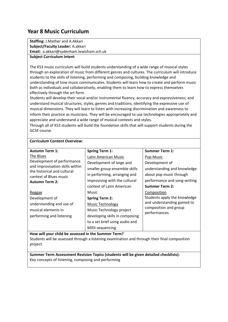## <span id="page-24-0"></span>**Year 8 Music Curriculum**

**Staffing:** J.Mather and A.Akkari **Subject/Faculty Leader:** A.akkari **Email:** a.akkari@sydenham.lewisham.sch.uk

## **Subject Curriculum Intent**

The KS3 music curriculum will build students understanding of a wide range of musical styles through an exploration of music from different genres and cultures. The curriculum will introduce students to the skills of listening, performing and composing, building knowledge and understanding of how music communicates. Students will learn how to create and perform music both as individuals and collaboratively, enabling them to learn how to express themselves effectively through the art form.

Students will develop their vocal and/or instrumental fluency, accuracy and expressiveness; and understand musical structures, styles, genres and traditions, identifying the expressive use of musical dimensions. They will learn to listen with increasing discrimination and awareness to inform their practice as musicians. They will be encouraged to use technologies appropriately and appreciate and understand a wide range of musical contexts and styles.

Through all of KS3 students will build the foundation skills that will support students during the GCSE course.

## **Curriculum Content Overview:**

| <b>Autumn Term 1:</b>                                                                                                  | <b>Spring Term 1:</b>          | <b>Summer Term 1:</b>                  |
|------------------------------------------------------------------------------------------------------------------------|--------------------------------|----------------------------------------|
| The Blues                                                                                                              | Latin American Music           | Pop Music                              |
| Development of performance<br>and improvisation skills within<br>the historical and cultural<br>context of Blues music | Development of large and       | Development of                         |
|                                                                                                                        | smaller group ensemble skills  | understanding and knowledge            |
|                                                                                                                        | in performing, arranging and   | about pop music through                |
| <b>Autumn Term 2:</b>                                                                                                  | improvising with the cultural  | performance and song-writing           |
|                                                                                                                        | context of Latin American      | <b>Summer Term 2:</b>                  |
| Reggae                                                                                                                 | Music                          | Composition                            |
| Development of                                                                                                         | <b>Spring Term 2:</b>          | Students apply the knowledge           |
| understanding and use of                                                                                               | <b>Music Technology</b>        | and understanding gained to            |
| musical elements in                                                                                                    | Music Technology project       | composition and group<br>performances. |
| performing and listening                                                                                               | developing skills in composing |                                        |
|                                                                                                                        | to a set brief using audio and |                                        |
|                                                                                                                        | MIDI sequencing                |                                        |

**How will your child be assessed in the Summer Term?** Students will be assessed through a listening examination and through their final composition project.

**Summer Term Assessment Revision Topics (students will be given detailed checklists):**  Key concepts of listening, composing and performing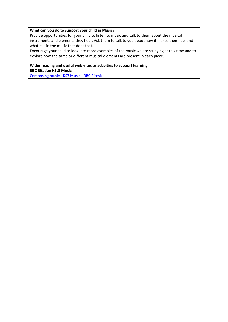#### **What can you do to support your child in Music?**

Provide opportunities for your child to listen to music and talk to them about the musical instruments and elements they hear. Ask them to talk to you about how it makes them feel and what it is in the music that does that.

Encourage your child to look into more examples of the music we are studying at this time and to explore how the same or different musical elements are present in each piece.

**Wider reading and useful web-sites or activities to support learning: BBC Bitesize KSs3 Music:**

[Composing music -](https://www.bbc.co.uk/bitesize/topics/z3dqhyc) KS3 Music - BBC Bitesize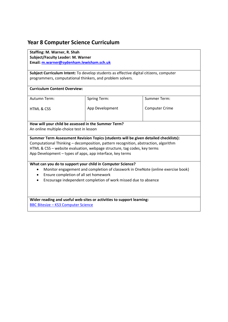## <span id="page-26-0"></span>**Year 8 Computer Science Curriculum**

**Staffing: M. Warner, R. Shah Subject/Faculty Leader: M. Warner Email[: m.warner@sydenham.lewisham.sch.uk](mailto:m.warner@sydenham.lewisham.sch.uk)**

**Subject Curriculum Intent:** To develop students as effective digital citizens, computer programmers, computational thinkers, and problem solvers.

#### **Curriculum Content Overview:**

Autumn Term:

Spring Term:

HTML & CSS

App Development

Summer Term:

Computer Crime

# **How will your child be assessed in the Summer Term?**

An online multiple-choice test in lesson

**Summer Term Assessment Revision Topics (students will be given detailed checklists):**  Computational Thinking – decomposition, pattern recognition, abstraction, algorithm HTML & CSS – website evaluation, webpage structure, tag codes, key terms App Development – types of apps, app interface, key terms

## **What can you do to support your child in Computer Science?**

- Monitor engagement and completion of classwork in OneNote (online exercise book)
- Ensure completion of all set homework
- Encourage independent completion of work missed due to absence

## **Wider reading and useful web-sites or activities to support learning:**

BBC Bitesize – [KS3 Computer Science](https://www.bbc.co.uk/bitesize/subjects/zvc9q6f)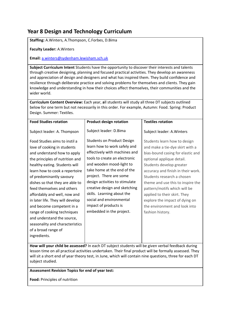## <span id="page-27-0"></span>**Year 8 Design and Technology Curriculum**

**Staffing:** A.Winters, A.Thompson, C.Forbes, D.Bima

**Faculty Leader:** A.Winters

**Email:** [a.winters@sydenham.lewisham.sch.uk](mailto:a.winters@sydenham.lewisham.sch.uk)

**Subject Curriculum Intent** Students have the opportunity to discover their interests and talents through creative designing, planning and focused practical activities. They develop an awareness and appreciation of design and designers and what has inspired them. They build confidence and resilience through deliberate practice and solving problems for themselves and clients. They gain knowledge and understanding in how their choices affect themselves, their communities and the wider world.

**Curriculum Content Overview:** Each year, **a**ll students will study all three DT subjects outlined below for one term but not necessarily in this order. For example, Autumn: Food. Spring: Product Design. Summer: Textiles.

| <b>Food Studies rotation</b>                                                                                                                                                                                                                                                                                                                                                                                                                                                                                                           | <b>Product design rotation</b>                                                                                                                                                                                                                                                                                                                                                                              | <b>Textiles rotation</b>                                                                                                                                                                                                                                                                                                                                                                                                      |
|----------------------------------------------------------------------------------------------------------------------------------------------------------------------------------------------------------------------------------------------------------------------------------------------------------------------------------------------------------------------------------------------------------------------------------------------------------------------------------------------------------------------------------------|-------------------------------------------------------------------------------------------------------------------------------------------------------------------------------------------------------------------------------------------------------------------------------------------------------------------------------------------------------------------------------------------------------------|-------------------------------------------------------------------------------------------------------------------------------------------------------------------------------------------------------------------------------------------------------------------------------------------------------------------------------------------------------------------------------------------------------------------------------|
| Subject leader: A. Thompson                                                                                                                                                                                                                                                                                                                                                                                                                                                                                                            | Subject leader: D.Bima                                                                                                                                                                                                                                                                                                                                                                                      | Subject leader: A. Winters                                                                                                                                                                                                                                                                                                                                                                                                    |
| Food Studies aims to instil a<br>love of cooking in students<br>and understand how to apply<br>the principles of nutrition and<br>healthy eating. Students will<br>learn how to cook a repertoire<br>of predominantly savoury<br>dishes so that they are able to<br>feed themselves and others<br>affordably and well, now and<br>in later life. They will develop<br>and become competent in a<br>range of cooking techniques<br>and understand the source,<br>seasonality and characteristics<br>of a broad range of<br>ingredients. | <b>Students on Product Design</b><br>learn how to work safely and<br>effectively with machines and<br>tools to create an electronic<br>and wooden mood-light to<br>take home at the end of the<br>project. There are some<br>design activities to stimulate<br>creative design and sketching<br>skills. Learning about the<br>social and environmental<br>impact of products is<br>embedded in the project. | Students learn how to design<br>and make a tie-dye skirt with a<br>bias-bound casing for elastic and<br>optional applique detail.<br>Students develop greater<br>accuracy and finish in their work.<br>Students research a chosen<br>theme and use this to inspire the<br>pattern/motifs which will be<br>applied to their skirt. They<br>explore the impact of dying on<br>the environment and look into<br>fashion history. |
|                                                                                                                                                                                                                                                                                                                                                                                                                                                                                                                                        |                                                                                                                                                                                                                                                                                                                                                                                                             |                                                                                                                                                                                                                                                                                                                                                                                                                               |

**How will your child be assessed?** In each DT subject students will be given verbal feedback during lesson time on all practical activities undertaken. Their final product will be formally assessed. They will sit a short end of year theory test, in June, which will contain nine questions, three for each DT subject studied.

## **Assessment Revision Topics for end of year test:**

**Food:** Principles of nutrition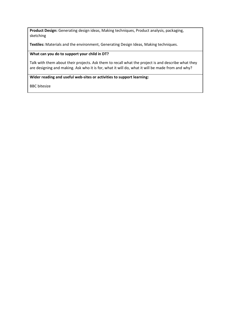**Product Design:** Generating design ideas, Making techniques, Product analysis, packaging, sketching

**Textiles:** Materials and the environment, Generating Design Ideas, Making techniques.

## **What can you do to support your child in DT?**

Talk with them about their projects. Ask them to recall what the project is and describe what they are designing and making. Ask who it is for, what it will do, what it will be made from and why?

#### **Wider reading and useful web-sites or activities to support learning:**

BBC bitesize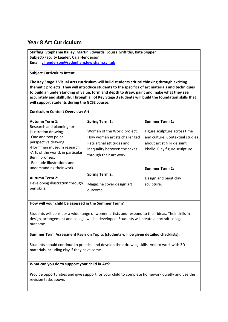## <span id="page-29-0"></span>**Year 8 Art Curriculum**

**Staffing: Stephanie Bailey, Martin Edwards, Louisa Griffiths, Kate Slipper Subject/Faculty Leader: Caia Henderson Email[: c.henderson@sydenham.lewisham.sch.uk](mailto:c.henderson@sydenham.lewisham.sch.uk)**

## **Subject Curriculum Intent**

**The Key Stage 3 Visual Arts curriculum will build students critical thinking through exciting thematic projects. They will introduce students to the specifics of art materials and techniques to build an understanding of value, form and depth to draw, paint and make what they see accurately and skillfully. Through all of Key Stage 3 students will build the foundation skills that will support students during the GCSE course.**

| <b>Curriculum Content Overview: Art</b>             |                              |                                 |  |
|-----------------------------------------------------|------------------------------|---------------------------------|--|
| <b>Autumn Term 1:</b>                               | <b>Spring Term 1:</b>        | <b>Summer Term 1:</b>           |  |
| Research and planning for                           |                              |                                 |  |
| illustration drawing.                               | Women of the World project.  | Figure sculpture across time    |  |
| -One and two point                                  | How women artists challenged | and culture. Contextual studies |  |
| perspective drawing.                                | Patriarchal attitudes and    | about artist Niki de saint      |  |
| -Horniman museum research                           | inequality between the sexes | Phalle. Clay figure sculpture.  |  |
| -Arts of the world, in particular<br>Benin bronzes. | through their art work.      |                                 |  |
| -Badaude illustrations and                          |                              |                                 |  |
| understanding their work.                           |                              | <b>Summer Term 2:</b>           |  |
|                                                     |                              |                                 |  |
| <b>Autumn Term 2:</b>                               | <b>Spring Term 2:</b>        | Design and paint clay           |  |
| Developing illustration through                     | Magazine cover design art    | sculpture.                      |  |
| pen skills.                                         | outcome.                     |                                 |  |
|                                                     |                              |                                 |  |
|                                                     |                              |                                 |  |

**How will your child be assessed in the Summer Term?**

Students will consider a wide range of women artists and respond to their ideas. Their skills in design, arrangement and collage will be developed. Students will create a portrait collage outcome.

**Summer Term Assessment Revision Topics (students will be given detailed checklists):** 

Students should continue to practice and develop their drawing skills. And to work with 3D materials including clay if they have some.

## **What can you do to support your child in Art?**

Provide opportunities and give support for your child to complete homework quietly and use the revision tasks above.